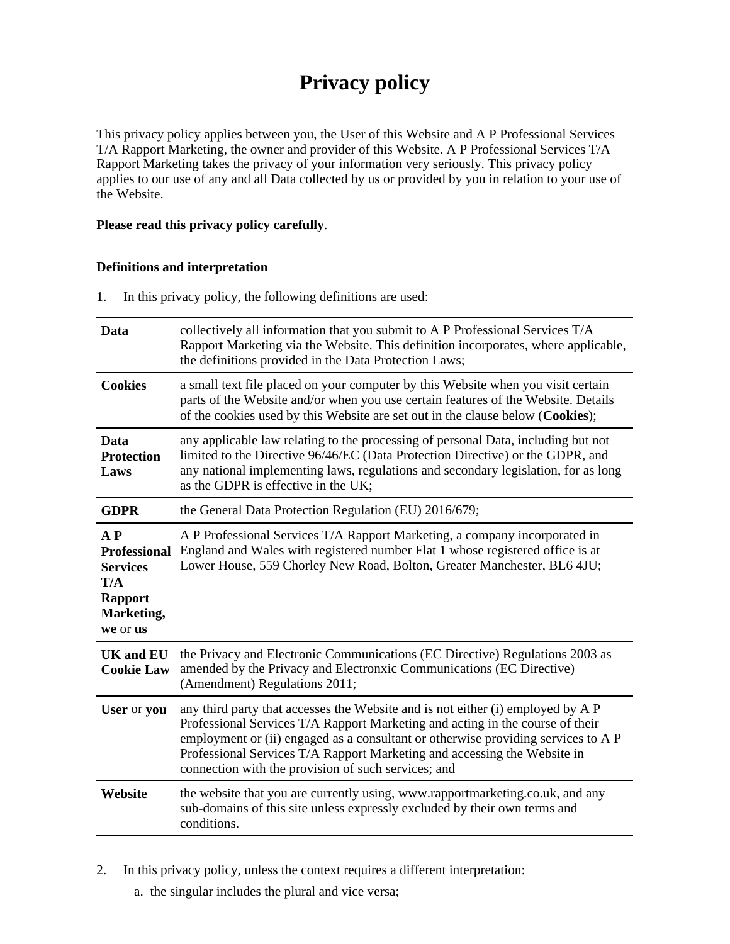# **Privacy policy**

This privacy policy applies between you, the User of this Website and A P Professional Services T/A Rapport Marketing, the owner and provider of this Website. A P Professional Services T/A Rapport Marketing takes the privacy of your information very seriously. This privacy policy applies to our use of any and all Data collected by us or provided by you in relation to your use of the Website.

#### **Please read this privacy policy carefully**.

#### **Definitions and interpretation**

1. In this privacy policy, the following definitions are used:

| Data                                                                                                 | collectively all information that you submit to A P Professional Services T/A<br>Rapport Marketing via the Website. This definition incorporates, where applicable,<br>the definitions provided in the Data Protection Laws;                                                                                                                                                             |
|------------------------------------------------------------------------------------------------------|------------------------------------------------------------------------------------------------------------------------------------------------------------------------------------------------------------------------------------------------------------------------------------------------------------------------------------------------------------------------------------------|
| <b>Cookies</b>                                                                                       | a small text file placed on your computer by this Website when you visit certain<br>parts of the Website and/or when you use certain features of the Website. Details<br>of the cookies used by this Website are set out in the clause below (Cookies);                                                                                                                                  |
| Data<br><b>Protection</b><br>Laws                                                                    | any applicable law relating to the processing of personal Data, including but not<br>limited to the Directive 96/46/EC (Data Protection Directive) or the GDPR, and<br>any national implementing laws, regulations and secondary legislation, for as long<br>as the GDPR is effective in the UK;                                                                                         |
| <b>GDPR</b>                                                                                          | the General Data Protection Regulation (EU) 2016/679;                                                                                                                                                                                                                                                                                                                                    |
| $A$ $P$<br><b>Professional</b><br><b>Services</b><br>T/A<br><b>Rapport</b><br>Marketing,<br>we or us | A P Professional Services T/A Rapport Marketing, a company incorporated in<br>England and Wales with registered number Flat 1 whose registered office is at<br>Lower House, 559 Chorley New Road, Bolton, Greater Manchester, BL6 4JU;                                                                                                                                                   |
| <b>UK</b> and <b>EU</b><br><b>Cookie Law</b>                                                         | the Privacy and Electronic Communications (EC Directive) Regulations 2003 as<br>amended by the Privacy and Electronxic Communications (EC Directive)<br>(Amendment) Regulations 2011;                                                                                                                                                                                                    |
| User or you                                                                                          | any third party that accesses the Website and is not either (i) employed by A P<br>Professional Services T/A Rapport Marketing and acting in the course of their<br>employment or (ii) engaged as a consultant or otherwise providing services to A P<br>Professional Services T/A Rapport Marketing and accessing the Website in<br>connection with the provision of such services; and |
| Website                                                                                              | the website that you are currently using, www.rapportmarketing.co.uk, and any<br>sub-domains of this site unless expressly excluded by their own terms and<br>conditions.                                                                                                                                                                                                                |

2. In this privacy policy, unless the context requires a different interpretation:

a. the singular includes the plural and vice versa;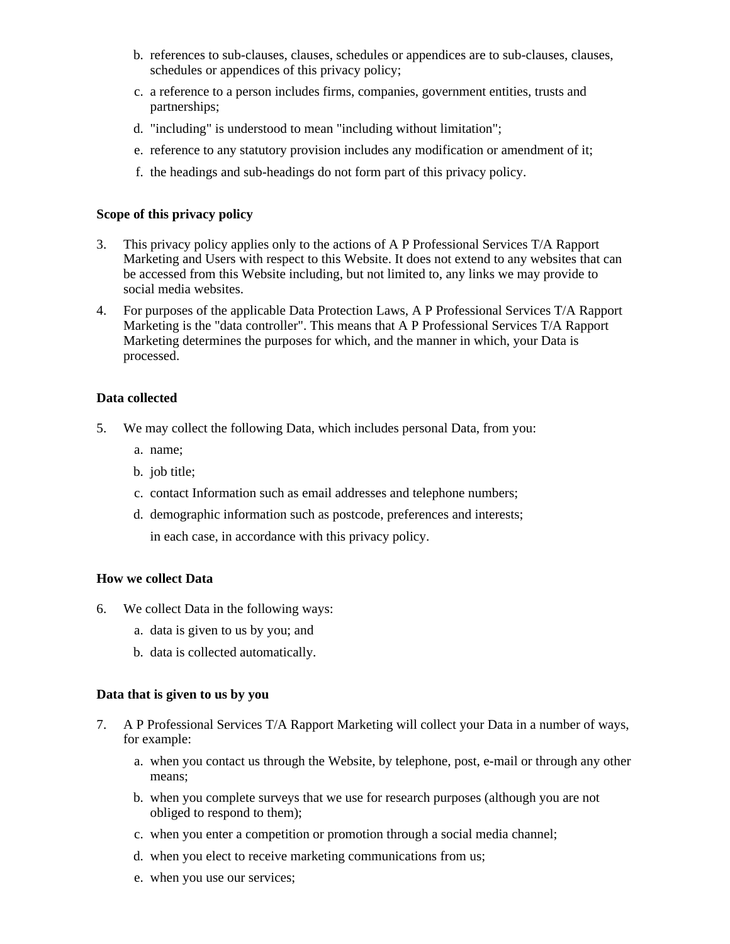- b. references to sub-clauses, clauses, schedules or appendices are to sub-clauses, clauses, schedules or appendices of this privacy policy;
- c. a reference to a person includes firms, companies, government entities, trusts and partnerships;
- d. "including" is understood to mean "including without limitation";
- e. reference to any statutory provision includes any modification or amendment of it;
- f. the headings and sub-headings do not form part of this privacy policy.

#### **Scope of this privacy policy**

- 3. This privacy policy applies only to the actions of A P Professional Services T/A Rapport Marketing and Users with respect to this Website. It does not extend to any websites that can be accessed from this Website including, but not limited to, any links we may provide to social media websites.
- 4. For purposes of the applicable Data Protection Laws, A P Professional Services T/A Rapport Marketing is the "data controller". This means that A P Professional Services T/A Rapport Marketing determines the purposes for which, and the manner in which, your Data is processed.

#### **Data collected**

- 5. We may collect the following Data, which includes personal Data, from you:
	- a. name;
	- b. job title;
	- c. contact Information such as email addresses and telephone numbers;
	- d. demographic information such as postcode, preferences and interests; in each case, in accordance with this privacy policy.

#### **How we collect Data**

- 6. We collect Data in the following ways:
	- a. data is given to us by you; and
	- b. data is collected automatically.

#### **Data that is given to us by you**

- 7. A P Professional Services T/A Rapport Marketing will collect your Data in a number of ways, for example:
	- a. when you contact us through the Website, by telephone, post, e-mail or through any other means;
	- b. when you complete surveys that we use for research purposes (although you are not obliged to respond to them);
	- c. when you enter a competition or promotion through a social media channel;
	- d. when you elect to receive marketing communications from us;
	- e. when you use our services;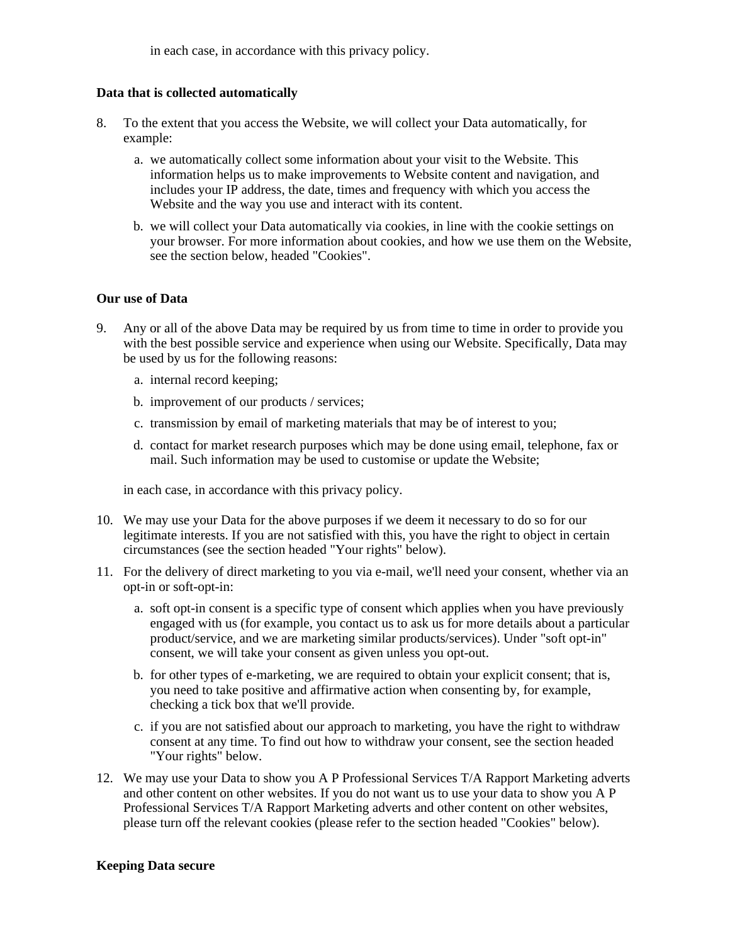in each case, in accordance with this privacy policy.

## **Data that is collected automatically**

- 8. To the extent that you access the Website, we will collect your Data automatically, for example:
	- a. we automatically collect some information about your visit to the Website. This information helps us to make improvements to Website content and navigation, and includes your IP address, the date, times and frequency with which you access the Website and the way you use and interact with its content.
	- b. we will collect your Data automatically via cookies, in line with the cookie settings on your browser. For more information about cookies, and how we use them on the Website, see the section below, headed "Cookies".

## **Our use of Data**

- 9. Any or all of the above Data may be required by us from time to time in order to provide you with the best possible service and experience when using our Website. Specifically, Data may be used by us for the following reasons:
	- a. internal record keeping;
	- b. improvement of our products / services;
	- c. transmission by email of marketing materials that may be of interest to you;
	- d. contact for market research purposes which may be done using email, telephone, fax or mail. Such information may be used to customise or update the Website;

in each case, in accordance with this privacy policy.

- 10. We may use your Data for the above purposes if we deem it necessary to do so for our legitimate interests. If you are not satisfied with this, you have the right to object in certain circumstances (see the section headed "Your rights" below).
- 11. For the delivery of direct marketing to you via e-mail, we'll need your consent, whether via an opt-in or soft-opt-in:
	- a. soft opt-in consent is a specific type of consent which applies when you have previously engaged with us (for example, you contact us to ask us for more details about a particular product/service, and we are marketing similar products/services). Under "soft opt-in" consent, we will take your consent as given unless you opt-out.
	- b. for other types of e-marketing, we are required to obtain your explicit consent; that is, you need to take positive and affirmative action when consenting by, for example, checking a tick box that we'll provide.
	- c. if you are not satisfied about our approach to marketing, you have the right to withdraw consent at any time. To find out how to withdraw your consent, see the section headed "Your rights" below.
- 12. We may use your Data to show you A P Professional Services T/A Rapport Marketing adverts and other content on other websites. If you do not want us to use your data to show you A P Professional Services T/A Rapport Marketing adverts and other content on other websites, please turn off the relevant cookies (please refer to the section headed "Cookies" below).

# **Keeping Data secure**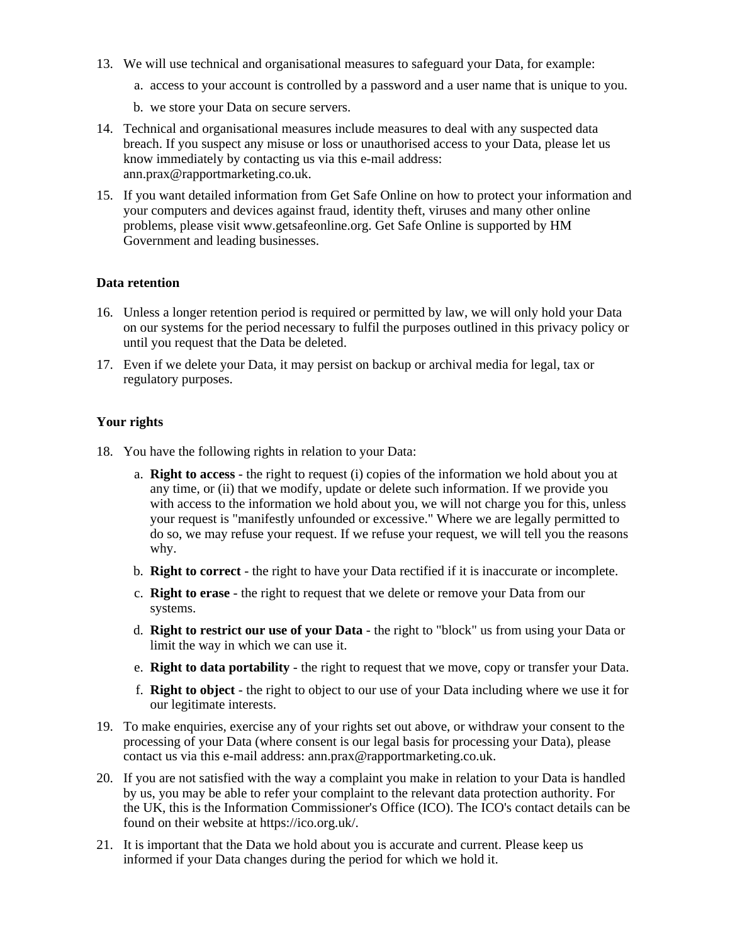- 13. We will use technical and organisational measures to safeguard your Data, for example:
	- a. access to your account is controlled by a password and a user name that is unique to you.
	- b. we store your Data on secure servers.
- 14. Technical and organisational measures include measures to deal with any suspected data breach. If you suspect any misuse or loss or unauthorised access to your Data, please let us know immediately by contacting us via this e-mail address: ann.prax@rapportmarketing.co.uk.
- 15. If you want detailed information from Get Safe Online on how to protect your information and your computers and devices against fraud, identity theft, viruses and many other online problems, please visit www.getsafeonline.org. Get Safe Online is supported by HM Government and leading businesses.

#### **Data retention**

- 16. Unless a longer retention period is required or permitted by law, we will only hold your Data on our systems for the period necessary to fulfil the purposes outlined in this privacy policy or until you request that the Data be deleted.
- 17. Even if we delete your Data, it may persist on backup or archival media for legal, tax or regulatory purposes.

#### **Your rights**

- 18. You have the following rights in relation to your Data:
	- a. **Right to access** the right to request (i) copies of the information we hold about you at any time, or (ii) that we modify, update or delete such information. If we provide you with access to the information we hold about you, we will not charge you for this, unless your request is "manifestly unfounded or excessive." Where we are legally permitted to do so, we may refuse your request. If we refuse your request, we will tell you the reasons why.
	- b. **Right to correct** the right to have your Data rectified if it is inaccurate or incomplete.
	- c. **Right to erase** the right to request that we delete or remove your Data from our systems.
	- d. **Right to restrict our use of your Data** the right to "block" us from using your Data or limit the way in which we can use it.
	- e. **Right to data portability** the right to request that we move, copy or transfer your Data.
	- f. **Right to object** the right to object to our use of your Data including where we use it for our legitimate interests.
- 19. To make enquiries, exercise any of your rights set out above, or withdraw your consent to the processing of your Data (where consent is our legal basis for processing your Data), please contact us via this e-mail address: ann.prax@rapportmarketing.co.uk.
- 20. If you are not satisfied with the way a complaint you make in relation to your Data is handled by us, you may be able to refer your complaint to the relevant data protection authority. For the UK, this is the Information Commissioner's Office (ICO). The ICO's contact details can be found on their website at https://ico.org.uk/.
- 21. It is important that the Data we hold about you is accurate and current. Please keep us informed if your Data changes during the period for which we hold it.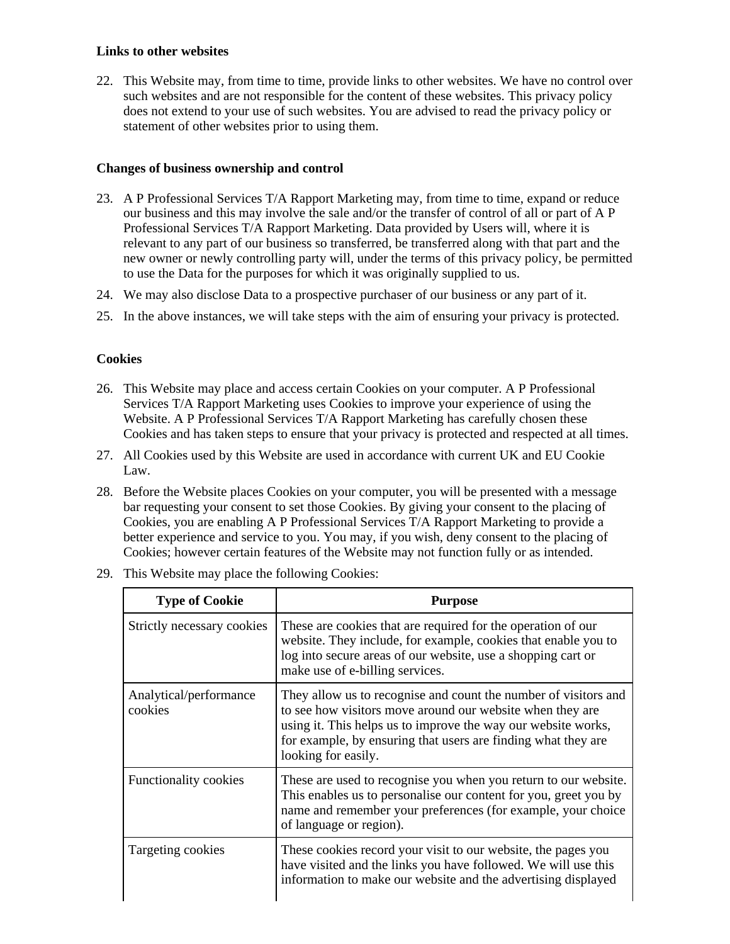#### **Links to other websites**

22. This Website may, from time to time, provide links to other websites. We have no control over such websites and are not responsible for the content of these websites. This privacy policy does not extend to your use of such websites. You are advised to read the privacy policy or statement of other websites prior to using them.

# **Changes of business ownership and control**

- 23. A P Professional Services T/A Rapport Marketing may, from time to time, expand or reduce our business and this may involve the sale and/or the transfer of control of all or part of A P Professional Services T/A Rapport Marketing. Data provided by Users will, where it is relevant to any part of our business so transferred, be transferred along with that part and the new owner or newly controlling party will, under the terms of this privacy policy, be permitted to use the Data for the purposes for which it was originally supplied to us.
- 24. We may also disclose Data to a prospective purchaser of our business or any part of it.
- 25. In the above instances, we will take steps with the aim of ensuring your privacy is protected.

## **Cookies**

- 26. This Website may place and access certain Cookies on your computer. A P Professional Services T/A Rapport Marketing uses Cookies to improve your experience of using the Website. A P Professional Services T/A Rapport Marketing has carefully chosen these Cookies and has taken steps to ensure that your privacy is protected and respected at all times.
- 27. All Cookies used by this Website are used in accordance with current UK and EU Cookie Law.
- 28. Before the Website places Cookies on your computer, you will be presented with a message bar requesting your consent to set those Cookies. By giving your consent to the placing of Cookies, you are enabling A P Professional Services T/A Rapport Marketing to provide a better experience and service to you. You may, if you wish, deny consent to the placing of Cookies; however certain features of the Website may not function fully or as intended.

| <b>Type of Cookie</b>             | <b>Purpose</b>                                                                                                                                                                                                                                                                        |
|-----------------------------------|---------------------------------------------------------------------------------------------------------------------------------------------------------------------------------------------------------------------------------------------------------------------------------------|
| Strictly necessary cookies        | These are cookies that are required for the operation of our<br>website. They include, for example, cookies that enable you to<br>log into secure areas of our website, use a shopping cart or<br>make use of e-billing services.                                                     |
| Analytical/performance<br>cookies | They allow us to recognise and count the number of visitors and<br>to see how visitors move around our website when they are<br>using it. This helps us to improve the way our website works,<br>for example, by ensuring that users are finding what they are<br>looking for easily. |
| Functionality cookies             | These are used to recognise you when you return to our website.<br>This enables us to personalise our content for you, greet you by<br>name and remember your preferences (for example, your choice<br>of language or region).                                                        |
| Targeting cookies                 | These cookies record your visit to our website, the pages you<br>have visited and the links you have followed. We will use this<br>information to make our website and the advertising displayed                                                                                      |

29. This Website may place the following Cookies: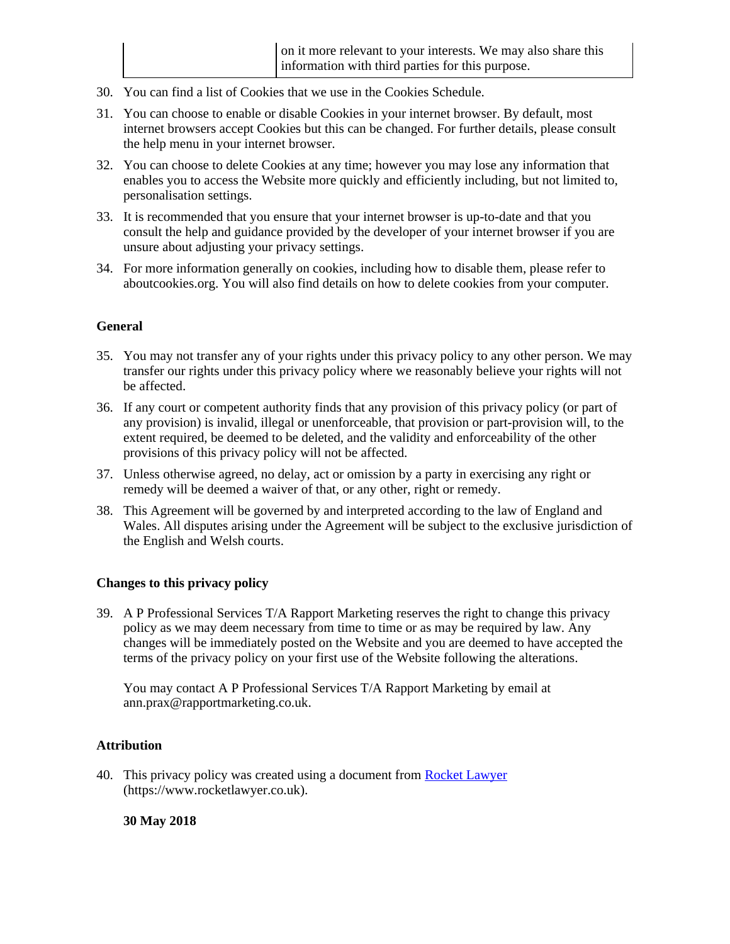- 30. You can find a list of Cookies that we use in the Cookies Schedule.
- 31. You can choose to enable or disable Cookies in your internet browser. By default, most internet browsers accept Cookies but this can be changed. For further details, please consult the help menu in your internet browser.
- 32. You can choose to delete Cookies at any time; however you may lose any information that enables you to access the Website more quickly and efficiently including, but not limited to, personalisation settings.
- 33. It is recommended that you ensure that your internet browser is up-to-date and that you consult the help and guidance provided by the developer of your internet browser if you are unsure about adjusting your privacy settings.
- 34. For more information generally on cookies, including how to disable them, please refer to aboutcookies.org. You will also find details on how to delete cookies from your computer.

## **General**

- 35. You may not transfer any of your rights under this privacy policy to any other person. We may transfer our rights under this privacy policy where we reasonably believe your rights will not be affected.
- 36. If any court or competent authority finds that any provision of this privacy policy (or part of any provision) is invalid, illegal or unenforceable, that provision or part-provision will, to the extent required, be deemed to be deleted, and the validity and enforceability of the other provisions of this privacy policy will not be affected.
- 37. Unless otherwise agreed, no delay, act or omission by a party in exercising any right or remedy will be deemed a waiver of that, or any other, right or remedy.
- 38. This Agreement will be governed by and interpreted according to the law of England and Wales. All disputes arising under the Agreement will be subject to the exclusive jurisdiction of the English and Welsh courts.

#### **Changes to this privacy policy**

39. A P Professional Services T/A Rapport Marketing reserves the right to change this privacy policy as we may deem necessary from time to time or as may be required by law. Any changes will be immediately posted on the Website and you are deemed to have accepted the terms of the privacy policy on your first use of the Website following the alterations.

You may contact A P Professional Services T/A Rapport Marketing by email at ann.prax@rapportmarketing.co.uk.

#### **Attribution**

40. This privacy policy was created using a document from [Rocket Lawyer](https://www.rocketlawyer.co.uk/) (https://www.rocketlawyer.co.uk).

#### **30 May 2018**